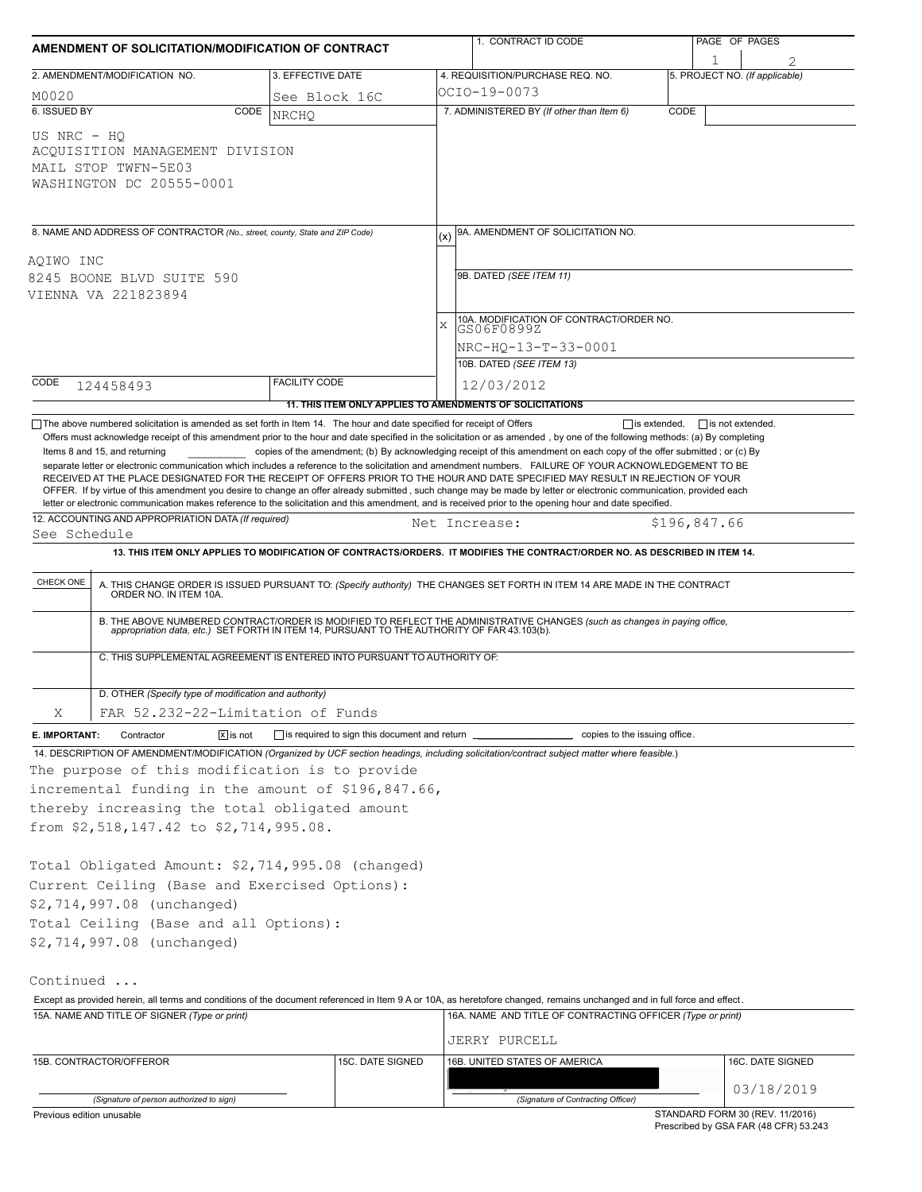|                                                               | AMENDMENT OF SOLICITATION/MODIFICATION OF CONTRACT                                                                                                                                                     |                                                  |                  |                                                                                                                         | 1. CONTRACT ID CODE                                                                                                                                                                                                                                                                                                                                                                                                                                                                                                                                                                                                                                                                                                                                                                                                                                                                                                                     |              | PAGE OF PAGES |                                 |
|---------------------------------------------------------------|--------------------------------------------------------------------------------------------------------------------------------------------------------------------------------------------------------|--------------------------------------------------|------------------|-------------------------------------------------------------------------------------------------------------------------|-----------------------------------------------------------------------------------------------------------------------------------------------------------------------------------------------------------------------------------------------------------------------------------------------------------------------------------------------------------------------------------------------------------------------------------------------------------------------------------------------------------------------------------------------------------------------------------------------------------------------------------------------------------------------------------------------------------------------------------------------------------------------------------------------------------------------------------------------------------------------------------------------------------------------------------------|--------------|---------------|---------------------------------|
| 2. AMENDMENT/MODIFICATION NO.                                 |                                                                                                                                                                                                        | 3. EFFECTIVE DATE                                |                  |                                                                                                                         | 4. REQUISITION/PURCHASE REQ. NO.                                                                                                                                                                                                                                                                                                                                                                                                                                                                                                                                                                                                                                                                                                                                                                                                                                                                                                        |              | 1             | 5. PROJECT NO. (If applicable)  |
| M0020                                                         |                                                                                                                                                                                                        | See Block 16C                                    |                  |                                                                                                                         | OCIO-19-0073                                                                                                                                                                                                                                                                                                                                                                                                                                                                                                                                                                                                                                                                                                                                                                                                                                                                                                                            |              |               |                                 |
| 6. ISSUED BY                                                  | CODE                                                                                                                                                                                                   | <b>NRCHO</b>                                     |                  |                                                                                                                         | 7. ADMINISTERED BY (If other than Item 6)                                                                                                                                                                                                                                                                                                                                                                                                                                                                                                                                                                                                                                                                                                                                                                                                                                                                                               | CODE         |               |                                 |
| US NRC - HO<br>MAIL STOP TWFN-5E03                            | ACQUISITION MANAGEMENT DIVISION<br>WASHINGTON DC 20555-0001                                                                                                                                            |                                                  |                  |                                                                                                                         |                                                                                                                                                                                                                                                                                                                                                                                                                                                                                                                                                                                                                                                                                                                                                                                                                                                                                                                                         |              |               |                                 |
|                                                               | 8. NAME AND ADDRESS OF CONTRACTOR (No., street, county, State and ZIP Code)                                                                                                                            |                                                  |                  |                                                                                                                         | 9A. AMENDMENT OF SOLICITATION NO.                                                                                                                                                                                                                                                                                                                                                                                                                                                                                                                                                                                                                                                                                                                                                                                                                                                                                                       |              |               |                                 |
| AQIWO INC<br>8245 BOONE BLVD SUITE 590<br>VIENNA VA 221823894 |                                                                                                                                                                                                        |                                                  |                  | 9B. DATED (SEE ITEM 11)<br>10A. MODIFICATION OF CONTRACT/ORDER NO.<br>$\mathbf{x}$<br>GS06F0899Z<br>NRC-HO-13-T-33-0001 |                                                                                                                                                                                                                                                                                                                                                                                                                                                                                                                                                                                                                                                                                                                                                                                                                                                                                                                                         |              |               |                                 |
|                                                               |                                                                                                                                                                                                        |                                                  |                  |                                                                                                                         | 10B. DATED (SEE ITEM 13)                                                                                                                                                                                                                                                                                                                                                                                                                                                                                                                                                                                                                                                                                                                                                                                                                                                                                                                |              |               |                                 |
| CODE<br>124458493                                             |                                                                                                                                                                                                        | <b>FACILITY CODE</b>                             |                  |                                                                                                                         | 12/03/2012                                                                                                                                                                                                                                                                                                                                                                                                                                                                                                                                                                                                                                                                                                                                                                                                                                                                                                                              |              |               |                                 |
|                                                               |                                                                                                                                                                                                        |                                                  |                  |                                                                                                                         | 11. THIS ITEM ONLY APPLIES TO AMENDMENTS OF SOLICITATIONS                                                                                                                                                                                                                                                                                                                                                                                                                                                                                                                                                                                                                                                                                                                                                                                                                                                                               |              |               |                                 |
| Items 8 and 15, and returning                                 |                                                                                                                                                                                                        |                                                  |                  |                                                                                                                         | Offers must acknowledge receipt of this amendment prior to the hour and date specified in the solicitation or as amended, by one of the following methods: (a) By completing<br>copies of the amendment; (b) By acknowledging receipt of this amendment on each copy of the offer submitted; or (c) By<br>separate letter or electronic communication which includes a reference to the solicitation and amendment numbers. FAILURE OF YOUR ACKNOWLEDGEMENT TO BE<br>RECEIVED AT THE PLACE DESIGNATED FOR THE RECEIPT OF OFFERS PRIOR TO THE HOUR AND DATE SPECIFIED MAY RESULT IN REJECTION OF YOUR<br>OFFER. If by virtue of this amendment you desire to change an offer already submitted, such change may be made by letter or electronic communication, provided each<br>letter or electronic communication makes reference to the solicitation and this amendment, and is received prior to the opening hour and date specified. |              |               |                                 |
| See Schedule                                                  | 12. ACCOUNTING AND APPROPRIATION DATA (If required)                                                                                                                                                    |                                                  |                  |                                                                                                                         | Net Increase:                                                                                                                                                                                                                                                                                                                                                                                                                                                                                                                                                                                                                                                                                                                                                                                                                                                                                                                           | \$196,847.66 |               |                                 |
|                                                               |                                                                                                                                                                                                        |                                                  |                  |                                                                                                                         | 13. THIS ITEM ONLY APPLIES TO MODIFICATION OF CONTRACTS/ORDERS. IT MODIFIES THE CONTRACT/ORDER NO. AS DESCRIBED IN ITEM 14.                                                                                                                                                                                                                                                                                                                                                                                                                                                                                                                                                                                                                                                                                                                                                                                                             |              |               |                                 |
| CHECK ONE                                                     | C. THIS SUPPLEMENTAL AGREEMENT IS ENTERED INTO PURSUANT TO AUTHORITY OF:                                                                                                                               |                                                  |                  |                                                                                                                         | A. THIS CHANGE ORDER IS ISSUED PURSUANT TO: (Specify authority) THE CHANGES SET FORTH IN ITEM 14 ARE MADE IN THE CONTRACT ORDER NO. IN ITEM 10A.<br>B. THE ABOVE NUMBERED CONTRACT/ORDER IS MODIFIED TO REFLECT THE ADMINISTRATIVE CHANGES (such as changes in paying office,<br>appropriation data, etc.) SET FORTH IN ITEM 14, PURSUANT TO THE AUTHORITY OF FAR 43.103(b).                                                                                                                                                                                                                                                                                                                                                                                                                                                                                                                                                            |              |               |                                 |
|                                                               | D. OTHER (Specify type of modification and authority)                                                                                                                                                  |                                                  |                  |                                                                                                                         |                                                                                                                                                                                                                                                                                                                                                                                                                                                                                                                                                                                                                                                                                                                                                                                                                                                                                                                                         |              |               |                                 |
| Χ                                                             | FAR 52.232-22-Limitation of Funds                                                                                                                                                                      |                                                  |                  |                                                                                                                         |                                                                                                                                                                                                                                                                                                                                                                                                                                                                                                                                                                                                                                                                                                                                                                                                                                                                                                                                         |              |               |                                 |
| E. IMPORTANT:                                                 | $ \overline{x} $ is not<br>Contractor                                                                                                                                                                  | □ is required to sign this document and return ■ |                  |                                                                                                                         | copies to the issuing office.                                                                                                                                                                                                                                                                                                                                                                                                                                                                                                                                                                                                                                                                                                                                                                                                                                                                                                           |              |               |                                 |
|                                                               | The purpose of this modification is to provide<br>incremental funding in the amount of \$196,847.66,<br>thereby increasing the total obligated amount<br>from \$2,518,147.42 to \$2,714,995.08.        |                                                  |                  |                                                                                                                         | 14. DESCRIPTION OF AMENDMENT/MODIFICATION (Organized by UCF section headings, including solicitation/contract subject matter where feasible.)                                                                                                                                                                                                                                                                                                                                                                                                                                                                                                                                                                                                                                                                                                                                                                                           |              |               |                                 |
|                                                               | Total Obligated Amount: \$2,714,995.08 (changed)<br>Current Ceiling (Base and Exercised Options):<br>\$2,714,997.08 (unchanged)<br>Total Ceiling (Base and all Options):<br>\$2,714,997.08 (unchanged) |                                                  |                  |                                                                                                                         |                                                                                                                                                                                                                                                                                                                                                                                                                                                                                                                                                                                                                                                                                                                                                                                                                                                                                                                                         |              |               |                                 |
| Continued                                                     | 15A. NAME AND TITLE OF SIGNER (Type or print)                                                                                                                                                          |                                                  |                  |                                                                                                                         | Except as provided herein, all terms and conditions of the document referenced in Item 9 A or 10A, as heretofore changed, remains unchanged and in full force and effect.<br>16A. NAME AND TITLE OF CONTRACTING OFFICER (Type or print)                                                                                                                                                                                                                                                                                                                                                                                                                                                                                                                                                                                                                                                                                                 |              |               |                                 |
|                                                               |                                                                                                                                                                                                        |                                                  |                  |                                                                                                                         | JERRY PURCELL                                                                                                                                                                                                                                                                                                                                                                                                                                                                                                                                                                                                                                                                                                                                                                                                                                                                                                                           |              |               |                                 |
| 15B. CONTRACTOR/OFFEROR                                       |                                                                                                                                                                                                        |                                                  | 15C. DATE SIGNED |                                                                                                                         | 16B. UNITED STATES OF AMERICA                                                                                                                                                                                                                                                                                                                                                                                                                                                                                                                                                                                                                                                                                                                                                                                                                                                                                                           |              |               | 16C. DATE SIGNED                |
|                                                               | (Signature of person authorized to sign)                                                                                                                                                               |                                                  |                  |                                                                                                                         | (Signature of Contracting Officer)                                                                                                                                                                                                                                                                                                                                                                                                                                                                                                                                                                                                                                                                                                                                                                                                                                                                                                      |              |               | 03/18/2019                      |
| Previous edition unusable                                     |                                                                                                                                                                                                        |                                                  |                  |                                                                                                                         |                                                                                                                                                                                                                                                                                                                                                                                                                                                                                                                                                                                                                                                                                                                                                                                                                                                                                                                                         |              |               | STANDARD FORM 30 (REV. 11/2016) |

Prescribed by GSA FAR (48 CFR) 53.243